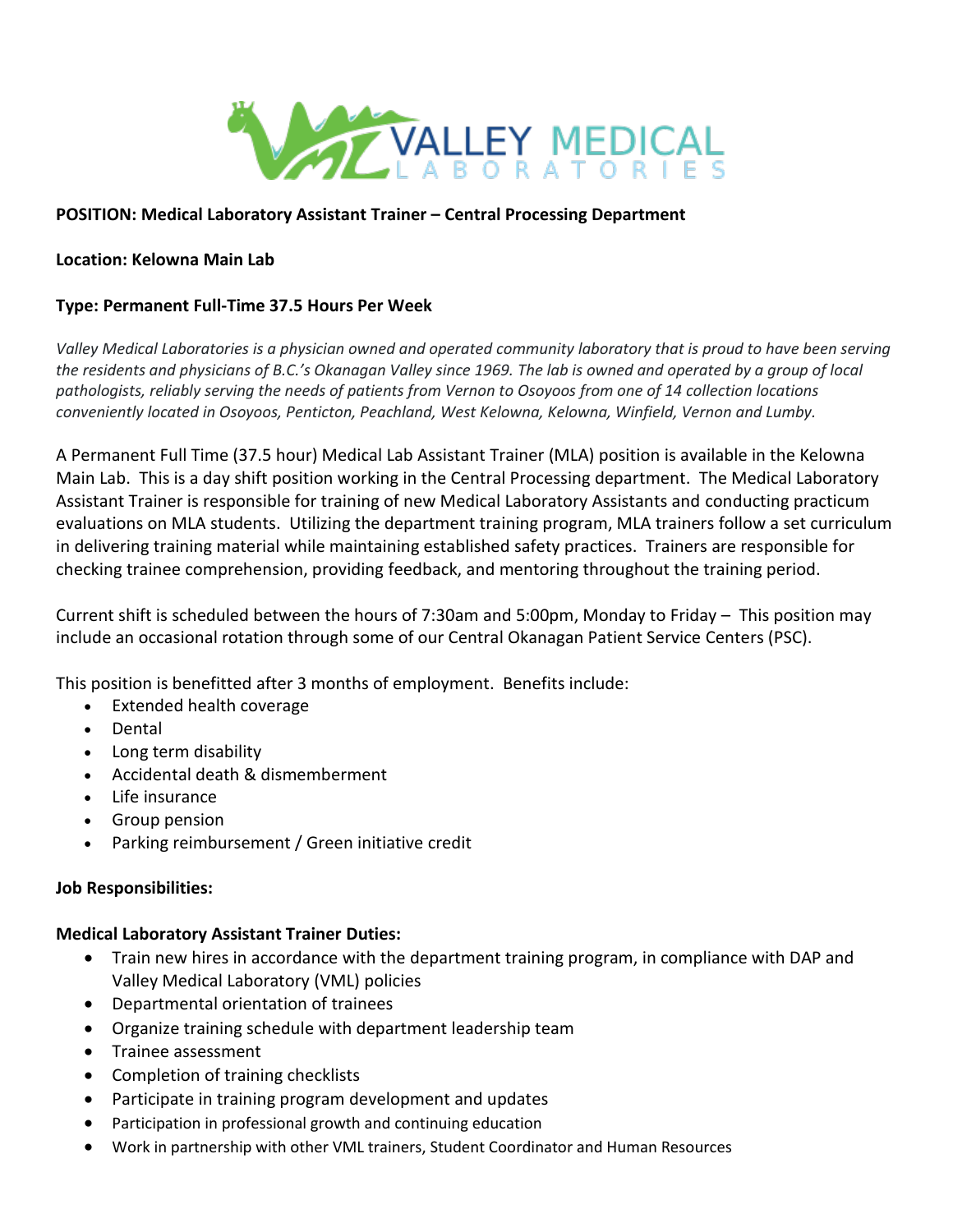

## **POSITION: Medical Laboratory Assistant Trainer – Central Processing Department**

### **Location: Kelowna Main Lab**

### **Type: Permanent Full-Time 37.5 Hours Per Week**

*Valley Medical Laboratories is a physician owned and operated community laboratory that is proud to have been serving the residents and physicians of B.C.'s Okanagan Valley since 1969. The lab is owned and operated by a group of local pathologists, reliably serving the needs of patients from Vernon to Osoyoos from one of 14 collection locations conveniently located in Osoyoos, Penticton, Peachland, West Kelowna, Kelowna, Winfield, Vernon and Lumby.*

A Permanent Full Time (37.5 hour) Medical Lab Assistant Trainer (MLA) position is available in the Kelowna Main Lab. This is a day shift position working in the Central Processing department. The Medical Laboratory Assistant Trainer is responsible for training of new Medical Laboratory Assistants and conducting practicum evaluations on MLA students. Utilizing the department training program, MLA trainers follow a set curriculum in delivering training material while maintaining established safety practices. Trainers are responsible for checking trainee comprehension, providing feedback, and mentoring throughout the training period.

Current shift is scheduled between the hours of 7:30am and 5:00pm, Monday to Friday – This position may include an occasional rotation through some of our Central Okanagan Patient Service Centers (PSC).

This position is benefitted after 3 months of employment. Benefits include:

- Extended health coverage
- Dental
- Long term disability
- Accidental death & dismemberment
- Life insurance
- Group pension
- Parking reimbursement / Green initiative credit

#### **Job Responsibilities:**

#### **Medical Laboratory Assistant Trainer Duties:**

- Train new hires in accordance with the department training program, in compliance with DAP and Valley Medical Laboratory (VML) policies
- Departmental orientation of trainees
- Organize training schedule with department leadership team
- Trainee assessment
- Completion of training checklists
- Participate in training program development and updates
- Participation in professional growth and continuing education
- Work in partnership with other VML trainers, Student Coordinator and Human Resources